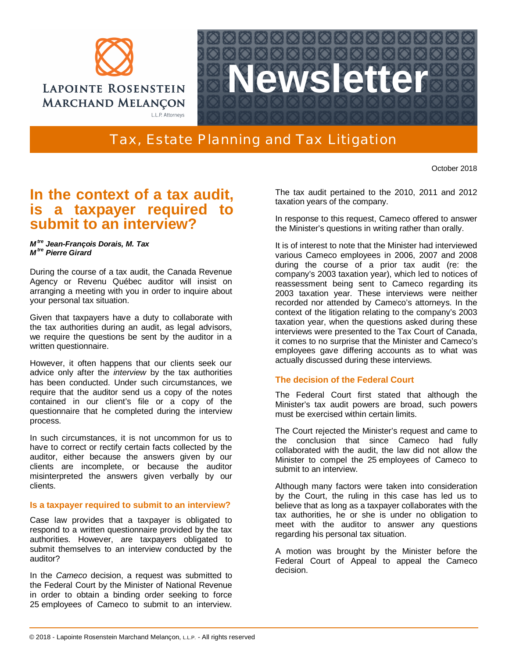



Tax, Estate Planning and Tax Litigation

October 2018

# **In the context of a tax audit, is a taxpayer required to submit to an interview?**

#### *M tre Jean-François Dorais, M. Tax M tre Pierre Girard*

During the course of a tax audit, the Canada Revenue Agency or Revenu Québec auditor will insist on arranging a meeting with you in order to inquire about your personal tax situation.

Given that taxpayers have a duty to collaborate with the tax authorities during an audit, as legal advisors, we require the questions be sent by the auditor in a written questionnaire.

However, it often happens that our clients seek our advice only after the *interview* by the tax authorities has been conducted. Under such circumstances, we require that the auditor send us a copy of the notes contained in our client's file or a copy of the questionnaire that he completed during the interview process.

In such circumstances, it is not uncommon for us to have to correct or rectify certain facts collected by the auditor, either because the answers given by our clients are incomplete, or because the auditor misinterpreted the answers given verbally by our clients.

## **Is a taxpayer required to submit to an interview?**

Case law provides that a taxpayer is obligated to respond to a written questionnaire provided by the tax authorities. However, are taxpayers obligated to submit themselves to an interview conducted by the auditor?

In the *Cameco* decision, a request was submitted to the Federal Court by the Minister of National Revenue in order to obtain a binding order seeking to force 25 employees of Cameco to submit to an interview.

The tax audit pertained to the 2010, 2011 and 2012 taxation years of the company.

In response to this request, Cameco offered to answer the Minister's questions in writing rather than orally.

It is of interest to note that the Minister had interviewed various Cameco employees in 2006, 2007 and 2008 during the course of a prior tax audit (re: the company's 2003 taxation year), which led to notices of reassessment being sent to Cameco regarding its 2003 taxation year. These interviews were neither recorded nor attended by Cameco's attorneys. In the context of the litigation relating to the company's 2003 taxation year, when the questions asked during these interviews were presented to the Tax Court of Canada, it comes to no surprise that the Minister and Cameco's employees gave differing accounts as to what was actually discussed during these interviews.

## **The decision of the Federal Court**

The Federal Court first stated that although the Minister's tax audit powers are broad, such powers must be exercised within certain limits.

The Court rejected the Minister's request and came to the conclusion that since Cameco had fully collaborated with the audit, the law did not allow the Minister to compel the 25 employees of Cameco to submit to an interview.

Although many factors were taken into consideration by the Court, the ruling in this case has led us to believe that as long as a taxpayer collaborates with the tax authorities, he or she is under no obligation to meet with the auditor to answer any questions regarding his personal tax situation.

A motion was brought by the Minister before the Federal Court of Appeal to appeal the Cameco decision.